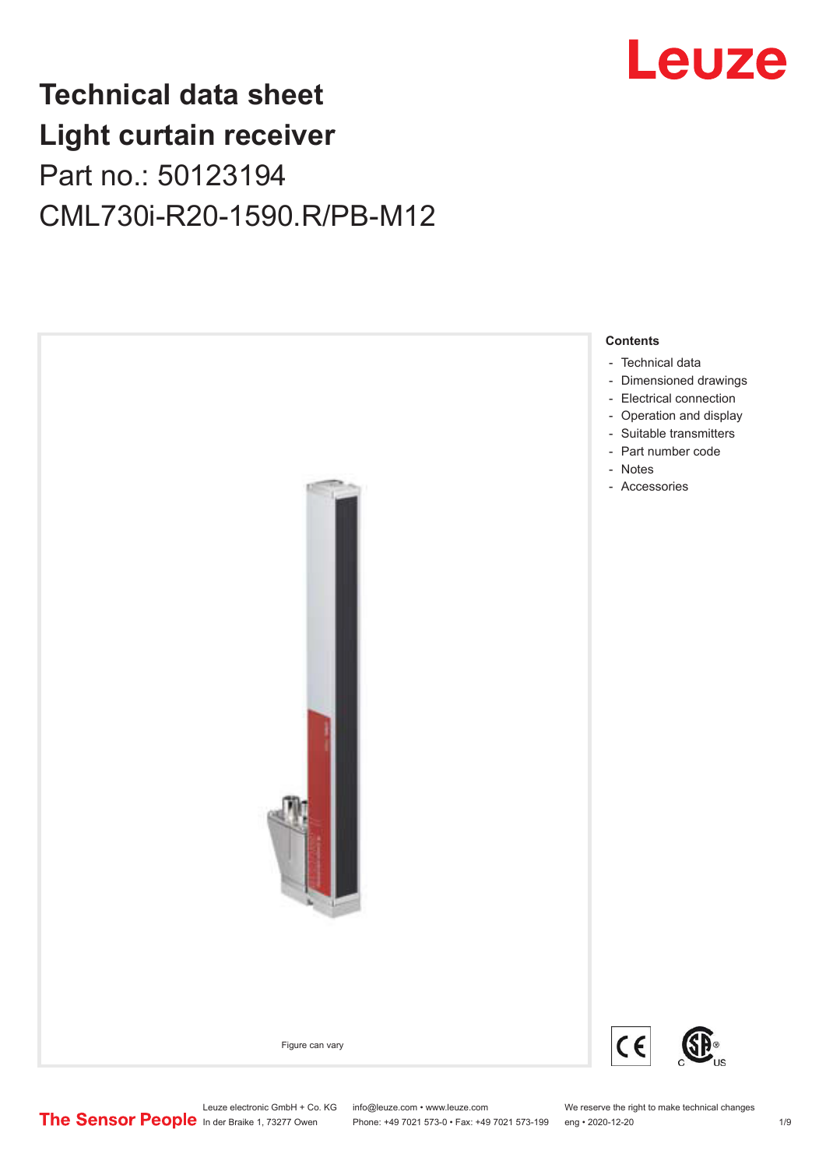

## **Technical data sheet Light curtain receiver** Part no.: 50123194 CML730i-R20-1590.R/PB-M12



Leuze electronic GmbH + Co. KG info@leuze.com • www.leuze.com We reserve the right to make technical changes<br>
The Sensor People in der Braike 1, 73277 Owen Phone: +49 7021 573-0 • Fax: +49 7021 573-199 eng • 2020-12-20

Phone: +49 7021 573-0 • Fax: +49 7021 573-199 eng • 2020-12-20 1 2020-12-20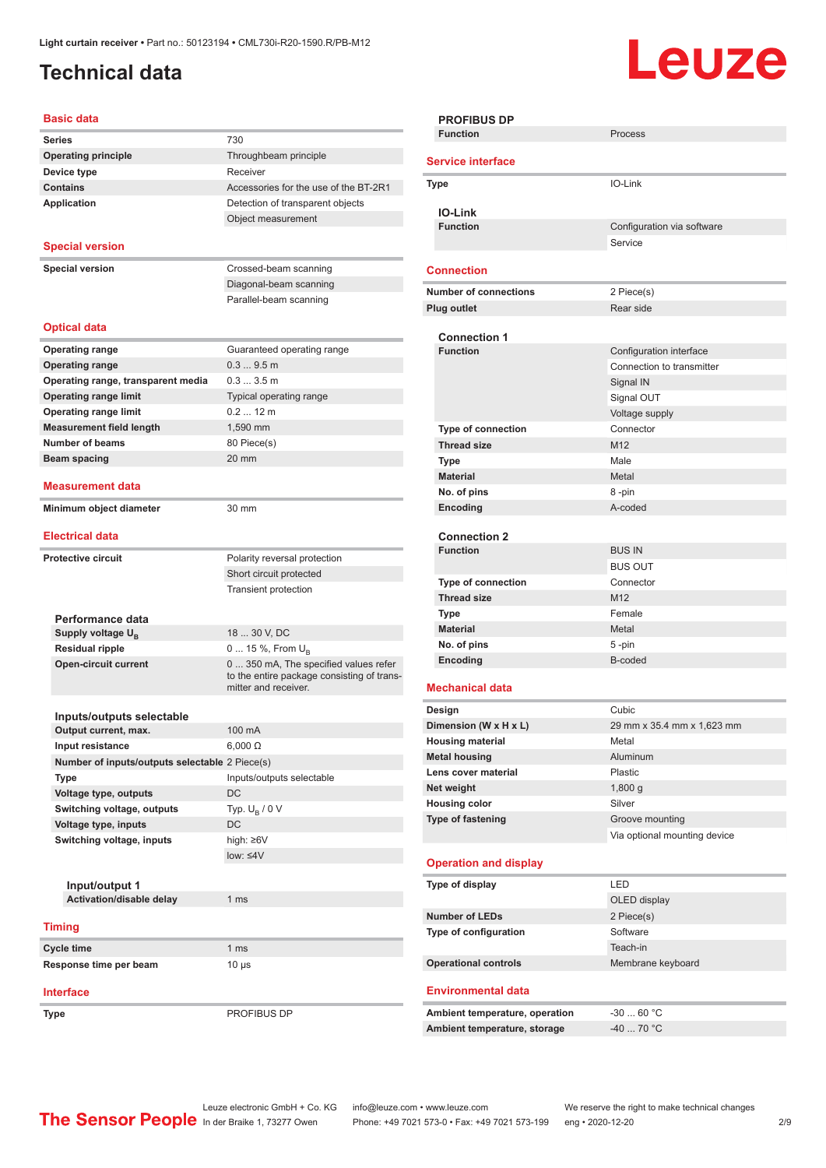### <span id="page-1-0"></span>**Technical data**

# Leuze

| <b>Basic data</b>                              |                                                                    |
|------------------------------------------------|--------------------------------------------------------------------|
| <b>Series</b>                                  | 730                                                                |
| <b>Operating principle</b>                     | Throughbeam principle                                              |
| Device type                                    | Receiver                                                           |
| <b>Contains</b>                                | Accessories for the use of the BT-2R1                              |
| <b>Application</b>                             | Detection of transparent objects                                   |
|                                                | Object measurement                                                 |
|                                                |                                                                    |
| <b>Special version</b>                         |                                                                    |
| <b>Special version</b>                         | Crossed-beam scanning                                              |
|                                                | Diagonal-beam scanning                                             |
|                                                | Parallel-beam scanning                                             |
|                                                |                                                                    |
| <b>Optical data</b>                            |                                                                    |
| <b>Operating range</b>                         | Guaranteed operating range                                         |
| <b>Operating range</b>                         | 0.39.5m                                                            |
| Operating range, transparent media             | 0.33.5m                                                            |
| <b>Operating range limit</b>                   | Typical operating range                                            |
| <b>Operating range limit</b>                   | $0.212$ m                                                          |
| <b>Measurement field length</b>                | 1,590 mm                                                           |
| Number of beams                                | 80 Piece(s)                                                        |
| <b>Beam spacing</b>                            | 20 mm                                                              |
|                                                |                                                                    |
| <b>Measurement data</b>                        |                                                                    |
| Minimum object diameter                        | 30 mm                                                              |
|                                                |                                                                    |
| <b>Electrical data</b>                         |                                                                    |
| <b>Protective circuit</b>                      | Polarity reversal protection                                       |
|                                                | Short circuit protected                                            |
|                                                | <b>Transient protection</b>                                        |
|                                                |                                                                    |
| Performance data                               |                                                                    |
| Supply voltage $U_{B}$                         | 18  30 V, DC                                                       |
| <b>Residual ripple</b>                         | 0  15 %, From $U_{\rm B}$                                          |
| <b>Open-circuit current</b>                    | 0  350 mA, The specified values refer                              |
|                                                | to the entire package consisting of trans-<br>mitter and receiver. |
|                                                |                                                                    |
| Inputs/outputs selectable                      |                                                                    |
| Output current, max.                           | 100 mA                                                             |
| Input resistance                               | $6,000 \Omega$                                                     |
| Number of inputs/outputs selectable 2 Piece(s) |                                                                    |
| <b>Type</b>                                    | Inputs/outputs selectable                                          |
| Voltage type, outputs                          | DC                                                                 |
| Switching voltage, outputs                     | Typ. $U_B / 0 V$                                                   |
| Voltage type, inputs                           | DC                                                                 |
| Switching voltage, inputs                      | high: ≥6V                                                          |
|                                                | $low: 4V$                                                          |
|                                                |                                                                    |
| Input/output 1                                 |                                                                    |
| Activation/disable delay                       | 1 <sub>ms</sub>                                                    |
|                                                |                                                                    |
| <b>Timing</b>                                  |                                                                    |
| Cycle time                                     | 1 <sub>ms</sub>                                                    |
| Response time per beam                         | $10 \mu s$                                                         |
| <b>Interface</b>                               |                                                                    |
|                                                |                                                                    |

**Type** PROFIBUS DP

| <b>PROFIBUS DP</b>                     |                                       |  |  |
|----------------------------------------|---------------------------------------|--|--|
| <b>Function</b>                        | Process                               |  |  |
| <b>Service interface</b>               |                                       |  |  |
| Type                                   | IO-Link                               |  |  |
|                                        |                                       |  |  |
| <b>IO-Link</b><br><b>Function</b>      |                                       |  |  |
|                                        | Configuration via software<br>Service |  |  |
|                                        |                                       |  |  |
| <b>Connection</b>                      |                                       |  |  |
| <b>Number of connections</b>           | 2 Piece(s)                            |  |  |
| Plug outlet                            | Rear side                             |  |  |
|                                        |                                       |  |  |
| <b>Connection 1</b><br><b>Function</b> | Configuration interface               |  |  |
|                                        | Connection to transmitter             |  |  |
|                                        |                                       |  |  |
|                                        | Signal IN                             |  |  |
|                                        | Signal OUT                            |  |  |
|                                        | Voltage supply                        |  |  |
| Type of connection                     | Connector                             |  |  |
| <b>Thread size</b>                     | M <sub>12</sub>                       |  |  |
| <b>Type</b>                            | Male                                  |  |  |
| <b>Material</b>                        | Metal                                 |  |  |
| No. of pins                            | 8-pin                                 |  |  |
| Encoding                               | A-coded                               |  |  |
|                                        |                                       |  |  |
| <b>Connection 2</b><br><b>Function</b> | <b>BUS IN</b>                         |  |  |
|                                        | <b>BUS OUT</b>                        |  |  |
|                                        | Connector                             |  |  |
| <b>Type of connection</b>              | M <sub>12</sub>                       |  |  |
| <b>Thread size</b>                     |                                       |  |  |
| <b>Type</b>                            | Female                                |  |  |
| <b>Material</b>                        | Metal                                 |  |  |
| No. of pins<br>Encoding                | 5-pin<br>B-coded                      |  |  |
|                                        |                                       |  |  |
| <b>Mechanical data</b>                 |                                       |  |  |
| Design                                 | Cubic                                 |  |  |
| Dimension (W x H x L)                  | 29 mm x 35.4 mm x 1,623 mm            |  |  |
| <b>Housing material</b>                | Metal                                 |  |  |
| <b>Metal housing</b>                   | Aluminum                              |  |  |
| Lens cover material                    | Plastic                               |  |  |
| Net weight                             | 1,800 g                               |  |  |
| <b>Housing color</b>                   | Silver                                |  |  |
| Type of fastening                      | Groove mounting                       |  |  |
|                                        | Via optional mounting device          |  |  |
| <b>Operation and display</b>           |                                       |  |  |
|                                        |                                       |  |  |
| Type of display                        | LED                                   |  |  |
|                                        | OLED display                          |  |  |
| <b>Number of LEDs</b>                  | 2 Piece(s)                            |  |  |
| Type of configuration                  | Software                              |  |  |
|                                        | Teach-in                              |  |  |
| <b>Operational controls</b>            | Membrane keyboard                     |  |  |
| <b>Environmental data</b>              |                                       |  |  |
| Ambient temperature, operation         | $-3060 °C$                            |  |  |
| Ambient temperature, storage           | $-40$ 70 °C                           |  |  |
|                                        |                                       |  |  |
|                                        |                                       |  |  |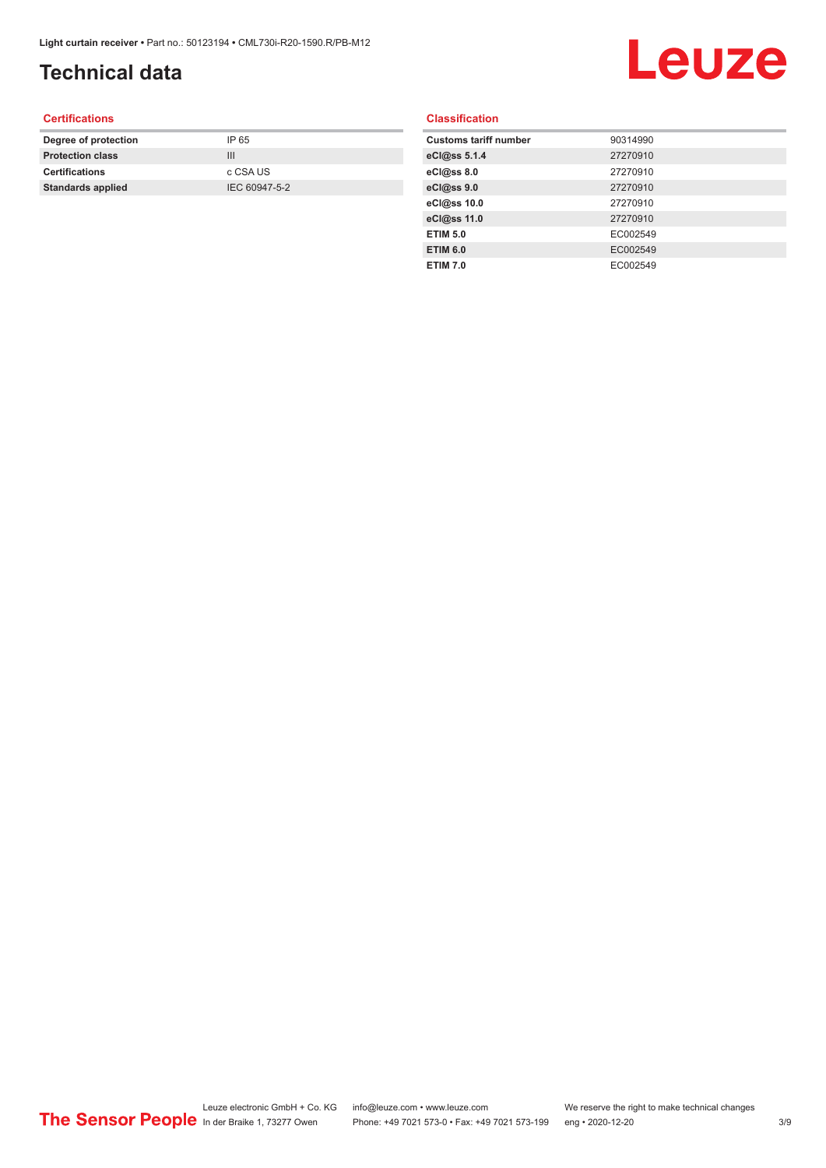### **Technical data**

## Leuze

#### **Certifications**

| Degree of protection     | IP 65         |
|--------------------------|---------------|
| <b>Protection class</b>  | Ш             |
| <b>Certifications</b>    | c CSA US      |
| <b>Standards applied</b> | IEC 60947-5-2 |
|                          |               |

#### **Classification**

| <b>Customs tariff number</b> | 90314990 |
|------------------------------|----------|
| eCl@ss 5.1.4                 | 27270910 |
| eCl@ss 8.0                   | 27270910 |
| eCl@ss 9.0                   | 27270910 |
| eCl@ss 10.0                  | 27270910 |
| eCl@ss 11.0                  | 27270910 |
| <b>ETIM 5.0</b>              | EC002549 |
| <b>ETIM 6.0</b>              | EC002549 |
| <b>ETIM 7.0</b>              | EC002549 |
|                              |          |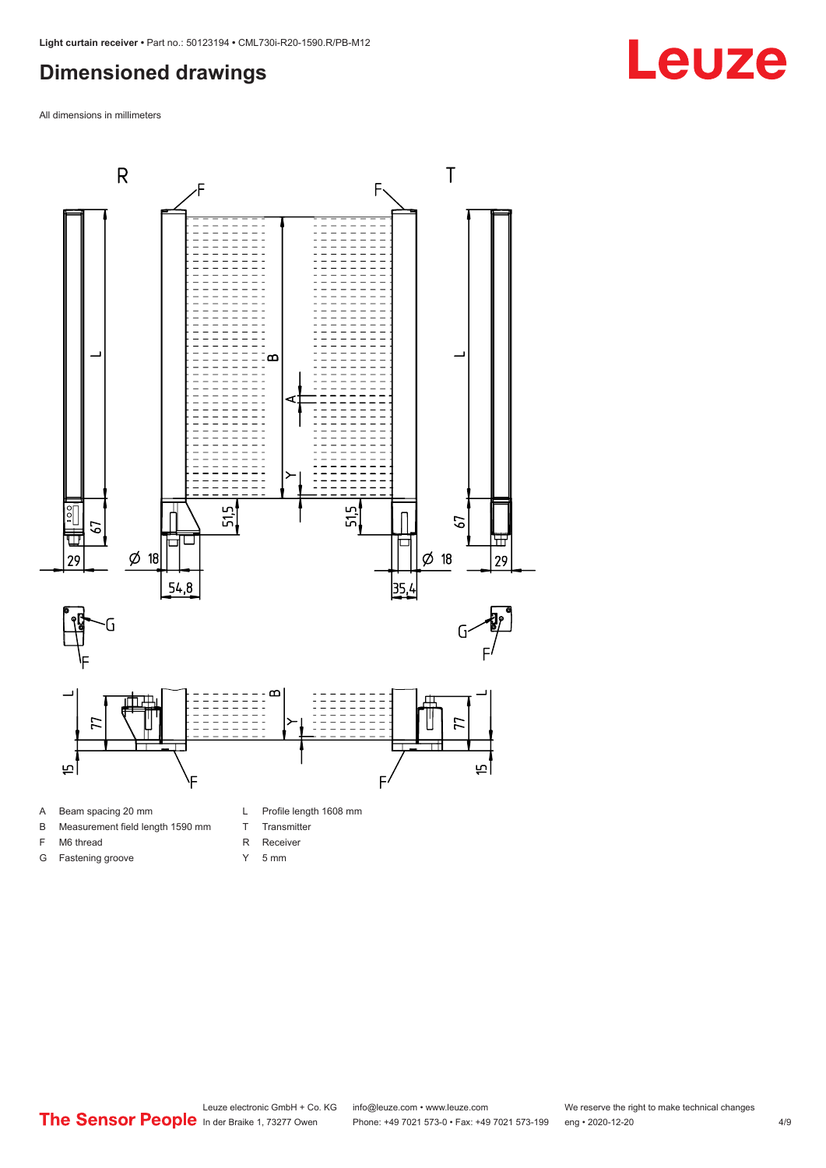#### <span id="page-3-0"></span>**Dimensioned drawings**

All dimensions in millimeters



- A Beam spacing 20 mm
- B Measurement field length 1590 mm
- F M6 thread

G Fastening groove

- R Receiver
	- Y 5 mm

T Transmitter

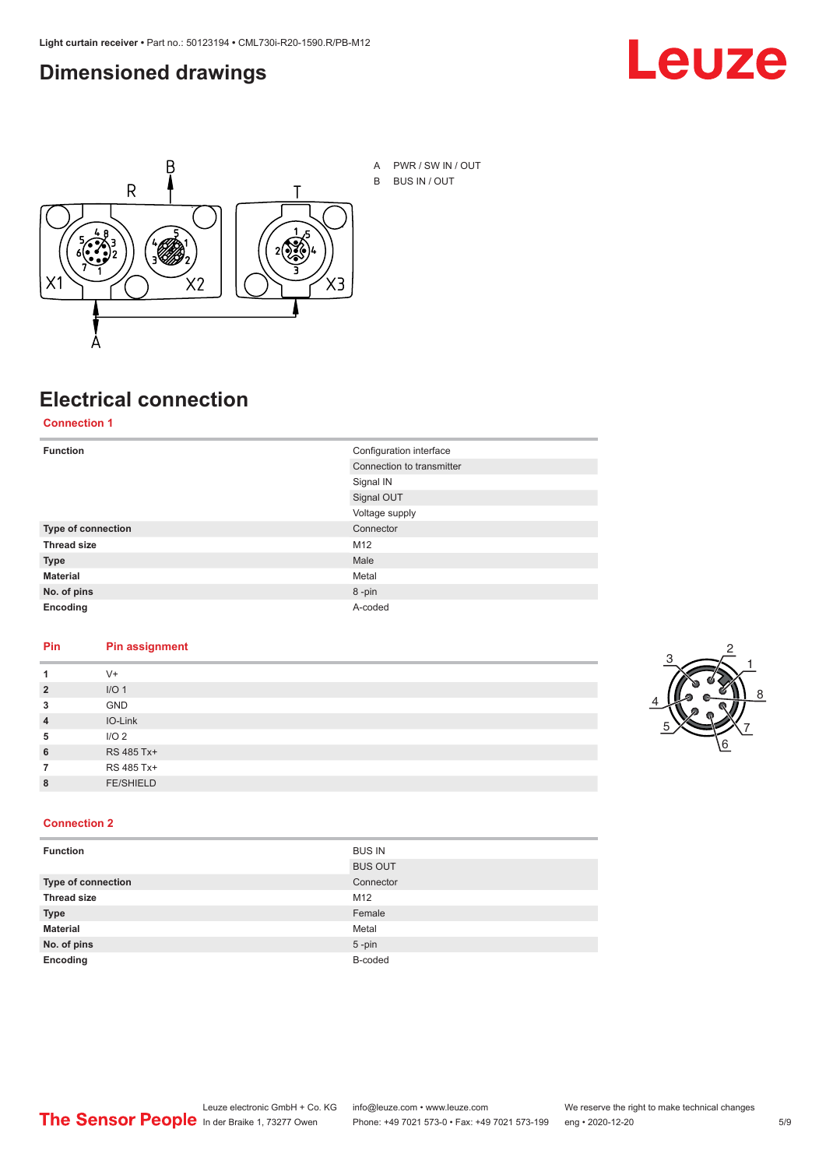#### <span id="page-4-0"></span>**Dimensioned drawings**





A PWR / SW IN / OUT B BUS IN / OUT

### **Electrical connection**

**Connection 1**

| <b>Function</b>    | Configuration interface   |
|--------------------|---------------------------|
|                    | Connection to transmitter |
|                    | Signal IN                 |
|                    | Signal OUT                |
|                    | Voltage supply            |
| Type of connection | Connector                 |
| <b>Thread size</b> | M12                       |
| <b>Type</b>        | Male                      |
| <b>Material</b>    | Metal                     |
| No. of pins        | 8-pin                     |
| Encoding           | A-coded                   |

#### **Pin Pin assignment**

|                | $V +$            |  |  |
|----------------|------------------|--|--|
| $\overline{2}$ | I/O <sub>1</sub> |  |  |
| 3              | <b>GND</b>       |  |  |
| $\overline{4}$ | IO-Link          |  |  |
| 5              | I/O <sub>2</sub> |  |  |
| 6              | RS 485 Tx+       |  |  |
|                | RS 485 Tx+       |  |  |
| 8              | <b>FE/SHIELD</b> |  |  |
|                |                  |  |  |



#### **Connection 2**

| <b>Function</b>    | <b>BUS IN</b>  |
|--------------------|----------------|
|                    | <b>BUS OUT</b> |
| Type of connection | Connector      |
| <b>Thread size</b> | M12            |
| <b>Type</b>        | Female         |
| <b>Material</b>    | Metal          |
| No. of pins        | $5$ -pin       |
| Encoding           | B-coded        |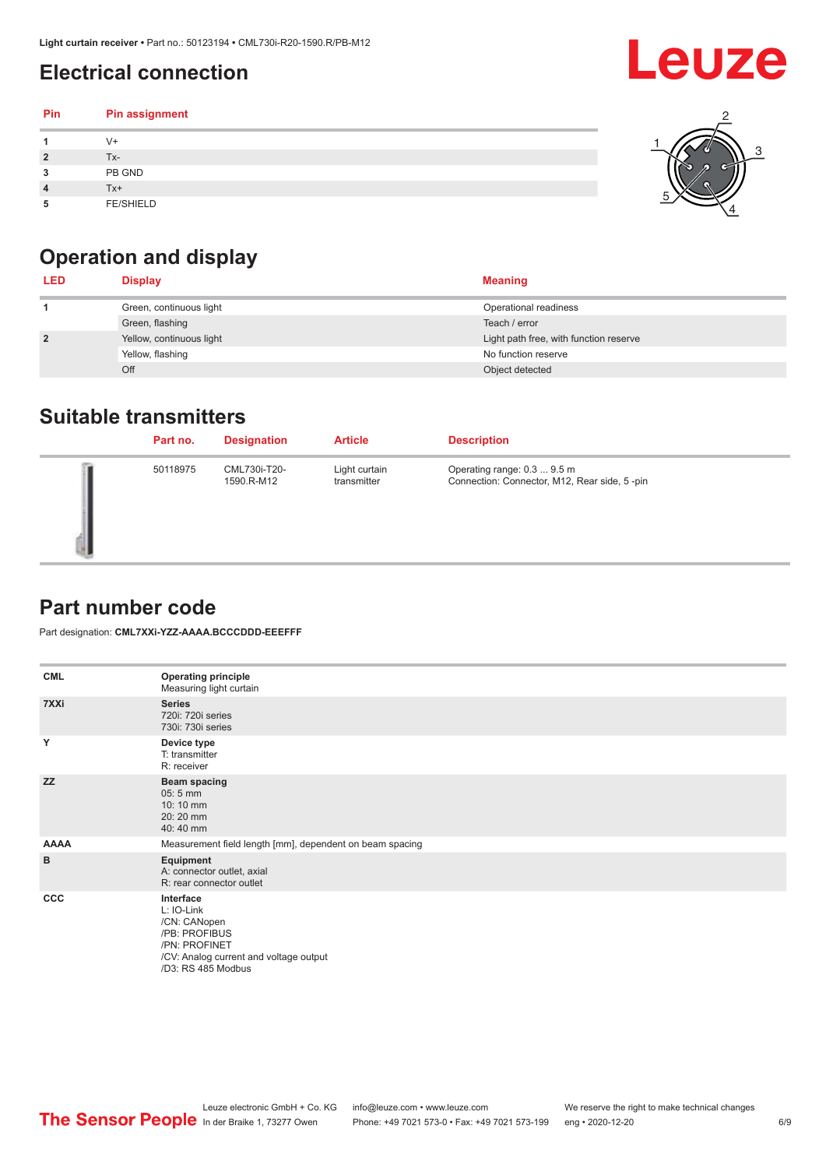### <span id="page-5-0"></span>**Electrical connection**

#### **Pin Pin assignment 1** V+ **2** Tx-**3** PB GND **4** Tx+ **5** FE/SHIELD 3 2 1 5 4

## **Operation and display**

| <b>LED</b>     | <b>Display</b>           | <b>Meaning</b>                         |
|----------------|--------------------------|----------------------------------------|
|                | Green, continuous light  | Operational readiness                  |
|                | Green, flashing          | Teach / error                          |
| $\overline{2}$ | Yellow, continuous light | Light path free, with function reserve |
|                | Yellow, flashing         | No function reserve                    |
|                | Off                      | Object detected                        |

#### **Suitable transmitters**

| Part no. | <b>Designation</b>         | <b>Article</b>               | <b>Description</b>                                                          |
|----------|----------------------------|------------------------------|-----------------------------------------------------------------------------|
| 50118975 | CML730i-T20-<br>1590.R-M12 | Light curtain<br>transmitter | Operating range: 0.3  9.5 m<br>Connection: Connector, M12, Rear side, 5-pin |

#### **Part number code**

Part designation: **CML7XXi-YZZ-AAAA.BCCCDDD-EEEFFF**

| <b>CML</b>  | <b>Operating principle</b><br>Measuring light curtain                                                                                     |  |  |
|-------------|-------------------------------------------------------------------------------------------------------------------------------------------|--|--|
| 7XXi        | <b>Series</b><br>720i: 720i series<br>730i: 730i series                                                                                   |  |  |
| Y           | Device type<br>T: transmitter<br>R: receiver                                                                                              |  |  |
| <b>ZZ</b>   | <b>Beam spacing</b><br>$05:5$ mm<br>10:10 mm<br>20:20 mm<br>40:40 mm                                                                      |  |  |
| <b>AAAA</b> | Measurement field length [mm], dependent on beam spacing                                                                                  |  |  |
| B           | Equipment<br>A: connector outlet, axial<br>R: rear connector outlet                                                                       |  |  |
| CCC         | Interface<br>L: IO-Link<br>/CN: CANopen<br>/PB: PROFIBUS<br>/PN: PROFINET<br>/CV: Analog current and voltage output<br>/D3: RS 485 Modbus |  |  |

Leuze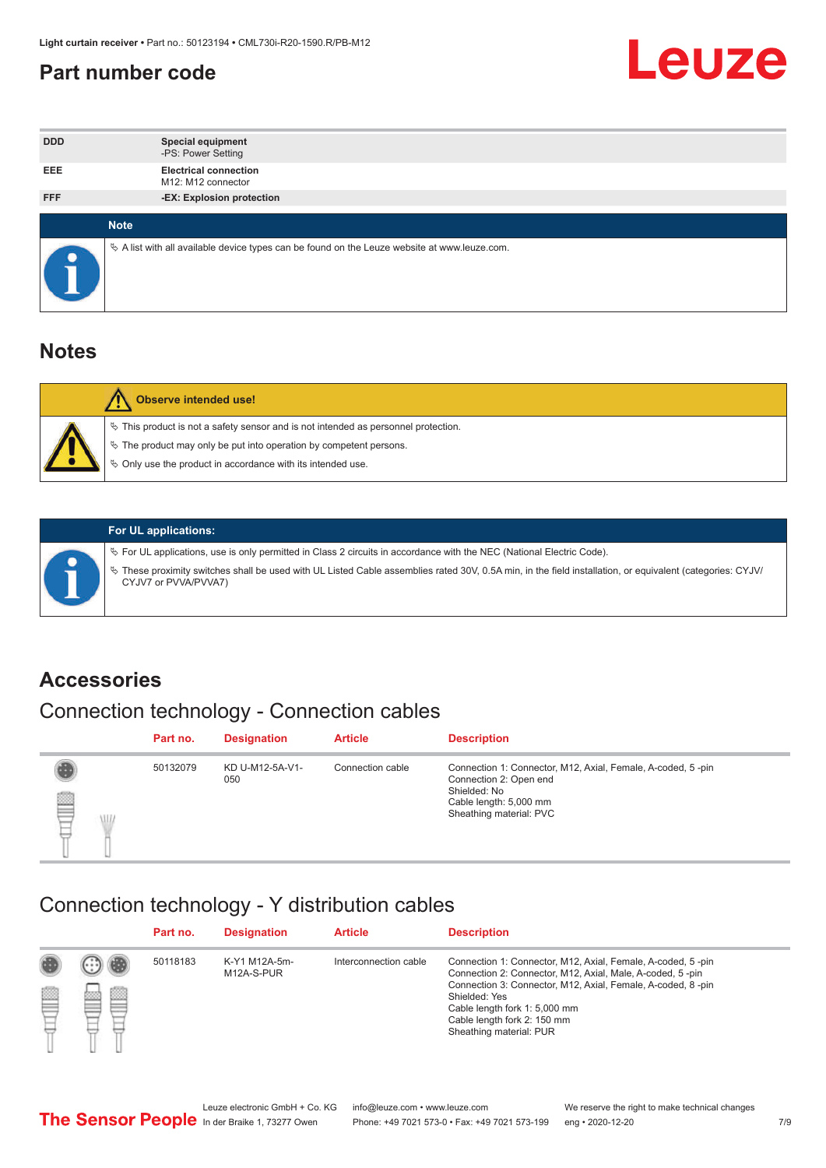#### <span id="page-6-0"></span>**Part number code**



| <b>DDD</b>  | <b>Special equipment</b><br>-PS: Power Setting                                                  |
|-------------|-------------------------------------------------------------------------------------------------|
| <b>EEE</b>  | <b>Electrical connection</b><br>M12: M12 connector                                              |
| <b>FFF</b>  | -EX: Explosion protection                                                                       |
| <b>Note</b> |                                                                                                 |
|             | $\&$ A list with all available device types can be found on the Leuze website at www.leuze.com. |

#### **Notes**

| Observe intended use!                                                                                                                                                                                                            |
|----------------------------------------------------------------------------------------------------------------------------------------------------------------------------------------------------------------------------------|
| $\%$ This product is not a safety sensor and is not intended as personnel protection.<br>$\%$ The product may only be put into operation by competent persons.<br>$\%$ Only use the product in accordance with its intended use. |
|                                                                                                                                                                                                                                  |



#### **For UL applications:**

ª For UL applications, use is only permitted in Class 2 circuits in accordance with the NEC (National Electric Code). ª These proximity switches shall be used with UL Listed Cable assemblies rated 30V, 0.5A min, in the field installation, or equivalent (categories: CYJV/ CYJV7 or PVVA/PVVA7)

#### **Accessories**

### Connection technology - Connection cables

|        | Part no. | <b>Designation</b>     | <b>Article</b>   | <b>Description</b>                                                                                                                                         |
|--------|----------|------------------------|------------------|------------------------------------------------------------------------------------------------------------------------------------------------------------|
| 2<br>W | 50132079 | KD U-M12-5A-V1-<br>050 | Connection cable | Connection 1: Connector, M12, Axial, Female, A-coded, 5-pin<br>Connection 2: Open end<br>Shielded: No<br>Cable length: 5,000 mm<br>Sheathing material: PVC |

#### Connection technology - Y distribution cables

|        |   | Part no. | <b>Designation</b>          | <b>Article</b>        | <b>Description</b>                                                                                                                                                                                                                                                                                  |
|--------|---|----------|-----------------------------|-----------------------|-----------------------------------------------------------------------------------------------------------------------------------------------------------------------------------------------------------------------------------------------------------------------------------------------------|
| 圔<br>⋿ | Ø | 50118183 | K-Y1 M12A-5m-<br>M12A-S-PUR | Interconnection cable | Connection 1: Connector, M12, Axial, Female, A-coded, 5-pin<br>Connection 2: Connector, M12, Axial, Male, A-coded, 5-pin<br>Connection 3: Connector, M12, Axial, Female, A-coded, 8-pin<br>Shielded: Yes<br>Cable length fork 1: 5,000 mm<br>Cable length fork 2: 150 mm<br>Sheathing material: PUR |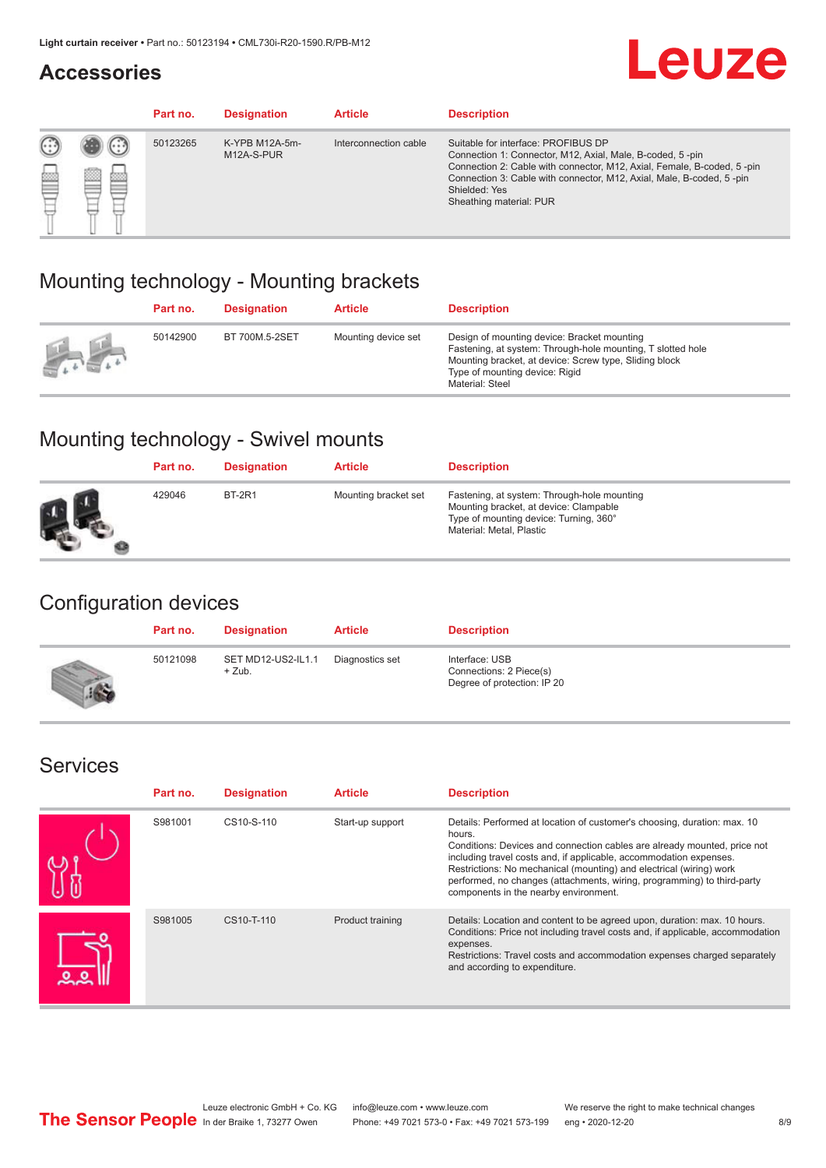#### **Accessories**

## **Leuze**

|     |         | Part no. | <b>Designation</b>           | <b>Article</b>        | <b>Description</b>                                                                                                                                                                                                                                                                             |
|-----|---------|----------|------------------------------|-----------------------|------------------------------------------------------------------------------------------------------------------------------------------------------------------------------------------------------------------------------------------------------------------------------------------------|
| 622 | ×<br>65 | 50123265 | K-YPB M12A-5m-<br>M12A-S-PUR | Interconnection cable | Suitable for interface: PROFIBUS DP<br>Connection 1: Connector, M12, Axial, Male, B-coded, 5-pin<br>Connection 2: Cable with connector, M12, Axial, Female, B-coded, 5-pin<br>Connection 3: Cable with connector, M12, Axial, Male, B-coded, 5-pin<br>Shielded: Yes<br>Sheathing material: PUR |

#### Mounting technology - Mounting brackets

|               | Part no. | <b>Designation</b> | <b>Article</b>      | <b>Description</b>                                                                                                                                                                                                        |
|---------------|----------|--------------------|---------------------|---------------------------------------------------------------------------------------------------------------------------------------------------------------------------------------------------------------------------|
| $\frac{1}{2}$ | 50142900 | BT 700M.5-2SET     | Mounting device set | Design of mounting device: Bracket mounting<br>Fastening, at system: Through-hole mounting, T slotted hole<br>Mounting bracket, at device: Screw type, Sliding block<br>Type of mounting device: Rigid<br>Material: Steel |

### Mounting technology - Swivel mounts

| Part no. | <b>Designation</b> | <b>Article</b>       | <b>Description</b>                                                                                                                                          |
|----------|--------------------|----------------------|-------------------------------------------------------------------------------------------------------------------------------------------------------------|
| 429046   | <b>BT-2R1</b>      | Mounting bracket set | Fastening, at system: Through-hole mounting<br>Mounting bracket, at device: Clampable<br>Type of mounting device: Turning, 360°<br>Material: Metal, Plastic |

#### Configuration devices

| Part no. | <b>Designation</b>             | <b>Article</b>  | <b>Description</b>                                                       |
|----------|--------------------------------|-----------------|--------------------------------------------------------------------------|
| 50121098 | SET MD12-US2-IL1.1<br>$+$ Zub. | Diagnostics set | Interface: USB<br>Connections: 2 Piece(s)<br>Degree of protection: IP 20 |

#### Services

| Part no. | <b>Designation</b> | <b>Article</b>   | <b>Description</b>                                                                                                                                                                                                                                                                                                                                                                                                              |
|----------|--------------------|------------------|---------------------------------------------------------------------------------------------------------------------------------------------------------------------------------------------------------------------------------------------------------------------------------------------------------------------------------------------------------------------------------------------------------------------------------|
| S981001  | CS10-S-110         | Start-up support | Details: Performed at location of customer's choosing, duration: max. 10<br>hours.<br>Conditions: Devices and connection cables are already mounted, price not<br>including travel costs and, if applicable, accommodation expenses.<br>Restrictions: No mechanical (mounting) and electrical (wiring) work<br>performed, no changes (attachments, wiring, programming) to third-party<br>components in the nearby environment. |
| S981005  | CS10-T-110         | Product training | Details: Location and content to be agreed upon, duration: max. 10 hours.<br>Conditions: Price not including travel costs and, if applicable, accommodation<br>expenses.<br>Restrictions: Travel costs and accommodation expenses charged separately<br>and according to expenditure.                                                                                                                                           |